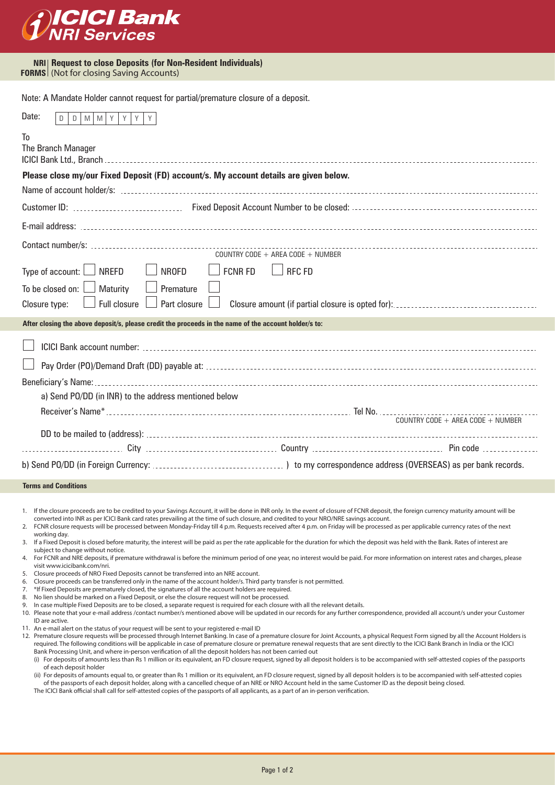

**NRI Request to close Deposits (for Non-Resident Individuals) FORMS** (Not for closing Saving Accounts)

Note: A Mandate Holder cannot request for partial/premature closure of a deposit.

| Date:<br>Y<br>Y<br>M<br>Y<br>M<br>D.                                                                  |                                |                                   |                                                                                                                    |
|-------------------------------------------------------------------------------------------------------|--------------------------------|-----------------------------------|--------------------------------------------------------------------------------------------------------------------|
| To<br>The Branch Manager<br>ICICI Bank Ltd., Branch                                                   |                                |                                   |                                                                                                                    |
| Please close my/our Fixed Deposit (FD) account/s. My account details are given below.                 |                                |                                   |                                                                                                                    |
|                                                                                                       |                                |                                   | Name of account holder/s: www.community.community.community.com/news/community/community/community/community/commu |
|                                                                                                       |                                |                                   |                                                                                                                    |
|                                                                                                       |                                |                                   |                                                                                                                    |
|                                                                                                       |                                | COUNTRY CODE + AREA CODE + NUMBER |                                                                                                                    |
| Type of account:<br><b>NREFD</b><br>$\Box$                                                            | $\Box$ FCNR FD<br><b>NROFD</b> | <b>RFC FD</b>                     |                                                                                                                    |
| To be closed on:<br>Maturity<br><b>Full closure</b><br>Closure type:                                  | Premature<br>Part closure      |                                   |                                                                                                                    |
| After closing the above deposit/s, please credit the proceeds in the name of the account holder/s to: |                                |                                   |                                                                                                                    |
|                                                                                                       |                                |                                   |                                                                                                                    |
|                                                                                                       |                                |                                   |                                                                                                                    |
|                                                                                                       |                                |                                   |                                                                                                                    |
| a) Send PO/DD (in INR) to the address mentioned below                                                 |                                |                                   |                                                                                                                    |
|                                                                                                       |                                |                                   |                                                                                                                    |
|                                                                                                       |                                |                                   | COUNTRY CODE + AREA CODE + NUMBER                                                                                  |
|                                                                                                       |                                |                                   |                                                                                                                    |
|                                                                                                       |                                |                                   |                                                                                                                    |

**Terms and Conditions**

1. If the closure proceeds are to be credited to your Savings Account, it will be done in INR only. In the event of closure of FCNR deposit, the foreign currency maturity amount will be converted into INR as per ICICI Bank card rates prevailing at the time of such closure, and credited to your NRO/NRE savings account.

FCNR closure requests will be processed between Monday-Friday till 4 p.m. Requests received after 4 p.m. on Friday will be processed as per applicable currency rates of the next working day.  $\overline{2}$ .

If a Fixed Deposit is closed before maturity, the interest will be paid as per the rate applicable for the duration for which the deposit was held with the Bank. Rates of interest are subject to change without notice. 3.

- 4. For FCNR and NRE deposits, if premature withdrawal is before the minimum period of one year, no interest would be paid. For more information on interest rates and charges, please visit www.icicibank.com/nri.
- 5. Closure proceeds of NRO Fixed Deposits cannot be transferred into an NRE account.
- Closure proceeds can be transferred only in the name of the account holder/s. Third party transfer is not permitted. 6.
- \*If Fixed Deposits are prematurely closed, the signatures of all the account holders are required. 7.
- No lien should be marked on a Fixed Deposit, or else the closure request will not be processed. 8.
- In case multiple Fixed Deposits are to be closed, a separate request is required for each closure with all the relevant details. 9.
- 10. Please note that your e-mail address /contact number/s mentioned above will be updated in our records for any further correspondence, provided all account/s under your Customer ID are active.
- 11. An e-mail alert on the status of your request will be sent to your registered e-mail ID
- 12. Premature closure requests will be processed through Internet Banking. In case of a premature closure for Joint Accounts, a physical Request Form signed by all the Account Holders is required. The following conditions will be applicable in case of premature closure or premature renewal requests that are sent directly to the ICICI Bank Branch in India or the ICICI Bank Processing Unit, and where in-person verification of all the deposit holders has not been carried out
	- (i) For deposits of amounts less than Rs 1 million or its equivalent, an FD closure request, signed by all deposit holders is to be accompanied with self-attested copies of the passports of each deposit holder
	- (ii) For deposits of amounts equal to, or greater than Rs 1 million or its equivalent, an FD closure request, signed by all deposit holders is to be accompanied with self-attested copies of the passports of each deposit holder, along with a cancelled cheque of an NRE or NRO Account held in the same Customer ID as the deposit being closed.
	- The ICICI Bank official shall call for self-attested copies of the passports of all applicants, as a part of an in-person verification.